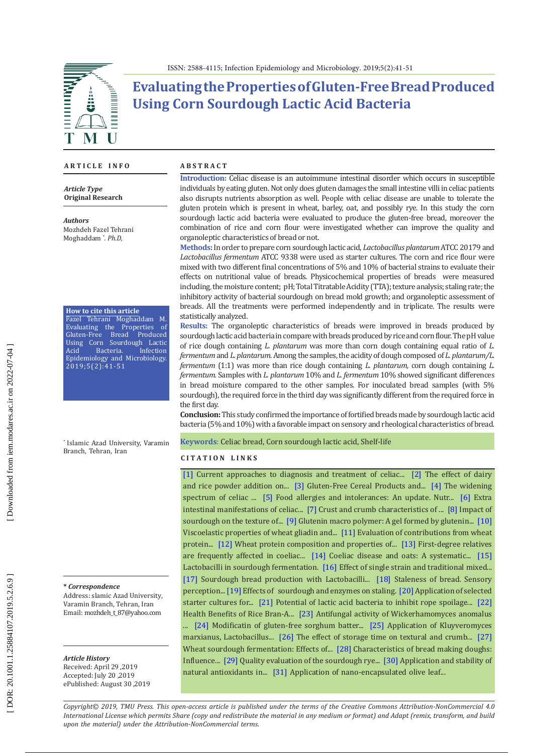

# **Evaluating the Properties of Gluten-Free Bread Produced Using Corn Sourdough Lactic Acid Bacteria**

#### **A R T I C L E I N F O**

*Article Type* **Original Research**

*Authors* Mozhdeh Fazel Tehrani Moghaddam \* *. Ph.D,* 

**How to cite this article** Fazel Tehrani Moghaddam M.

Evaluating the Properties of Gluten-Free Bread Produced Using Corn Sourdough Lactic Acid Bacteria. Infection Epidemiology and Microbiology. 2019;5(2):41-51

\* Islamic Azad University, Varamin Branch, Tehran, Iran

**\*** *Correspondence*

Address: slamic Azad University, Varamin Branch, Tehran, Iran Email: mozhdeh\_t\_87@yahoo.com

*Article History* Received: April 29 ,2019

Accepted: July 20 ,2019 ePublished: August 30 ,2019

#### **A B S T R A C T**

**Introduction:** Celiac disease is an autoimmune intestinal disorder which occurs in susceptible individuals by eating gluten. Not only does gluten damages the small intestine villi in celiac patients also disrupts nutrients absorption as well. People with celiac disease are unable to tolerate the gluten protein which is present in wheat, barley, oat, and possibly rye. In this study the corn sourdough lactic acid bacteria were evaluated to produce the gluten-free bread, moreover the combination of rice and corn flour were investigated whether can improve the quality and organoleptic characteristics of bread or not.

**Methods:**In order to prepare corn sourdough lactic acid, *Lactobacillus plantarum* ATCC 20179 and *Lactobacillus fermentum* ATCC 9338 were used as starter cultures. The corn and rice flour were mixed with two different final concentrations of 5% and 10% of bacterial strains to evaluate their effects on nutritional value of breads. Physicochemical properties of breads were measured including, the moisture content; pH; Total Titratable Acidity (TTA); texture analysis; staling rate; the inhibitory activity of bacterial sourdough on bread mold growth; and organoleptic assessment of breads. All the treatments were performed independently and in triplicate. The results were statistically analyzed.

**Results:** The organoleptic characteristics of breads were improved in breads produced by sourdough lactic acid bacteria in compare with breads produced by rice and corn flour. The pH value of rice dough containing *L. plantarum* was more than corn dough containing equal ratio of *L. fermentum* and *L. plantarum.* Among the samples, the acidity of dough composed of *L. plantarum/L. fermentum* (1:1) was more than rice dough containing *L. plantarum,* corn dough containing *L. fermentum.* Samples with *L. plantarum* 10% and *L. fermentum* 10% showed significant differences in bread moisture compared to the other samples. For inoculated bread samples (with 5% sourdough), the required force in the third day was significantly different from the required force in the first day.

**Conclusion:** This study confirmed the importance of fortified breads made by sourdough lactic acid bacteria (5% and 10%) with a favorable impact on sensory and rheological characteristics of bread.

**Keywords**: Celiac bread, Corn sourdough lactic acid, Shelf-life

#### **C I T A T I O N L I N K S**

[\[1\]](https://www.ncbi.nlm.nih.gov/pubmed/11179241) Current approaches to diagnosis and treatment of celiac... [\[2\]](https://link.springer.com/article/10.1007/s00217-003-0818-9) The effect of dairy and rice powder addition on... [\[3\]](https://www.elsevier.com/books/gluten-free-cereal-products-and-beverages/arendt/978-0-12-373739-7) Gluten-Free Cereal Products and... [\[4\]](https://www.ncbi.nlm.nih.gov/pubmed/10075317) The widening spectrum of celiac ... [\[5\]](https://www.emerald.com/insight/content/doi/10.1108/00346659710179688/full/html) Food allergies and intolerances: An update. Nutr... [\[6\]](https://www.nashvilleceliacs.org/wp-content/uploads/2014/11/Extraintestinal-Manifest.-of-Celiac-Green-2006.pdf) Extra intestinal manifestations of celiac... [\[7\]](https://www.sciencedirect.com/science/article/abs/pii/S0260877402002443) Crust and crumb characteristics of ... [\[8\]](https://www.ncbi.nlm.nih.gov/pubmed/17008161) Impact of sourdough on the texture of... [\[9\]](https://www.sciencedirect.com/science/article/pii/S0733521002904819) Glutenin macro polymer: A gel formed by glutenin... [\[10\]](https://www.researchgate.net/publication/222416868_Viscoelastic_properties_of_wheat_gliadin_and_glutenin_suspensions) Viscoelastic properties of wheat gliadin and... [\[11\]](https://www.sciencedirect.com/science/article/pii/S0733521087800632) Evaluation of contributions from wheat protein... [\[12\]](https://www.ncbi.nlm.nih.gov/pubmed/12058979) Wheat protein composition and properties of... [\[13\]](https://www.ncbi.nlm.nih.gov/pubmed/11843035) First-degree relatives are frequently affected in coeliac... [\[14\]](https://europepmc.org/abstract/med/17068278) Coeliac disease and oats: A systematic... [\[15\]](https://www.academia.edu/16957319/Lactobacilli_in_sourdough_fermentation) Lactobacilli in sourdough fermentation. [\[16\]](https://www.researchgate.net/publication/228979750_Effect_of_Single_Strain_and_Traditional_Mixed_Strain_Starter_Cultures_on_Rheological_Properties_of_Wheat_Dough_and_on_Bread_Quality) Effect of single strain and traditional mixed... [\[17\]](https://www.researchgate.net/publication/229115423_Sourdough_bread_production_with_lactobacilli_and_S_cerevisiae_isolated_from_sourdoughs) Sourdough bread production with Lactobacilli... [\[18\]](https://www.researchgate.net/publication/229115423_Sourdough_bread_production_with_lactobacilli_and_S_cerevisiae_isolated_from_sourdoughs) Staleness of bread*.* Sensory perception...[\[19\]](https://www.sciencedirect.com/science/article/pii/S0023643805000654) Effects of sourdough and enzymes on staling. [\[20\]](https://www.researchgate.net/publication/223900474_Application_of_selected_starter_cultures_for_the_production_of_wheat_sourdough_bread_using_traditional_three-stage_procedure) Application of selected starter cultures for... [\[21\]](https://www.sciencedirect.com/science/article/pii/S0023643801908084) Potential of lactic acid bacteria to inhibit rope spoilage... [\[22\]](https://www.google.com/url?sa=t&rct=j&q=&esrc=s&source=web&cd=1&cad=rja&uact=8&ved=2ahUKEwjkqJuPzp3kAhXksaQKHaBVDLIQFjAAegQIAhAC&url=https%3A%2F%2Fwww.longdom.org%2Fopen-access%2Fhealth-benefits-of-rice-bran-a-review-2155-9600.1000108.pdf&usg=AOvVaw1kI4ht\
awbvvGy1u4OGIVfl)  Health Benefits of Rice Bran-A... [\[23\]](https://www.ncbi.nlm.nih.gov/pubmed/21441340) Antifungal activity of Wickerhamomyces anomalus ... [\[24\]](https://www.researchgate.net/publication/251483780_Modification_of_gluten-free_sorghum_batter_and_bread_using_maize_potato_cassava_or_rice_starch) Modificatin of gluten-free sorghum batter... [\[25\]](http://agris.fao.org/agris-search/search.do?recordID=US201300823849) Application of Kluyveromyces marxianus, Lactobacillus... [\[26\]](https://www.researchgate.net/publication/226827156_The_effect_of_storage_time_on_textural_and_crumb_grain_characteristics_of_sourdough_wheat_bread) The effect of storage time on textural and crumb... [\[27\]](https://www.researchgate.net/publication/237328370_Wheat_Sourdough_Fermentation_Effects_of_Time_and_Acidification_on_Fundamental_Rheological_Properties)  Wheat sourdough fermentation: Effects of... [\[28\]](https://www.researchgate.net/publication/227109491_Characteristics_of_bread_making_doughs_Influence_of_sourdough_fermentation_on_the_fundamental_rheological_properties) Characteristics of bread making doughs: Influence... [\[29\]](https://core.ac.uk/download/pdf/27237777.pdf) Quality evaluation of the sourdough rye... [\[30\]](https://www.ncbi.nlm.nih.gov/pubmed/25745196) [Application and stability of](http://refhub.elsevier.com/S0308-8146\(15\)00859-6/h0180)  [natural antioxidants](http://refhub.elsevier.com/S0308-8146\(15\)00859-6/h0180) [in.](http://refhub.elsevier.com/S0308-8146\(15\)00859-6/h0180).. [\[31\]](Application of nano-encapsulated olive leaf extract in controlling the oxidative stability of soybean oil. Food Chem. 2016; 190: 513–9.\r\r\r) Application of nano-encapsulated olive leaf...

Downloaded from iem.modares.ac.ir on 2022-07-04

*Copyright© 2019, TMU Press. This open-access article is published under the terms of the Creative Commons Attribution-NonCommercial 4.0 International License which permits Share (copy and redistribute the material in any medium or format) and Adapt (remix, transform, and build upon the material) under the Attribution-NonCommercial terms.*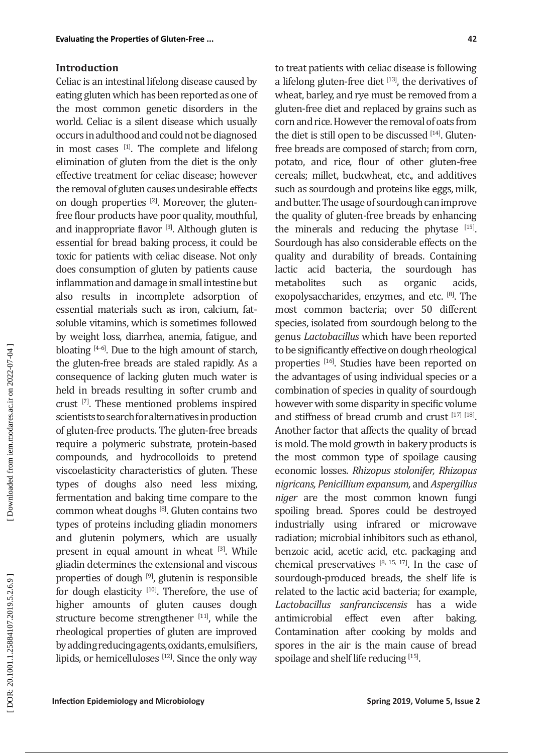#### **Introduction**

Celiac is an intestinal lifelong disease caused by eating gluten which has been reported as one of the most common genetic disorders in the world. Celiac is a silent disease which usually occurs in adulthood and could not be diagnosed in most cases  $[1]$ . The complete and lifelong elimination of gluten from the diet is the only effective treatment for celiac disease; however the removal of gluten causes undesirable effects on dough properties [2]. Moreover, the glutenfree flour products have poor quality, mouthful, and inappropriate flavor [3]. Although gluten is essential for bread baking process, it could be toxic for patients with celiac disease. Not only does consumption of gluten by patients cause inflammation and damage in small intestine but also results in incomplete adsorption of essential materials such as iron, calcium, fatsoluble vitamins, which is sometimes followed by weight loss, diarrhea, anemia, fatigue, and bloating [4-6]. Due to the high amount of starch, the gluten-free breads are staled rapidly. As a consequence of lacking gluten much water is held in breads resulting in softer crumb and crust [7]. These mentioned problems inspired scientists to search for alternatives in production of gluten-free products. The gluten-free breads require a polymeric substrate, protein-based compounds, and hydrocolloids to pretend viscoelasticity characteristics of gluten. These types of doughs also need less mixing, fermentation and baking time compare to the common wheat doughs [8]. Gluten contains two types of proteins including gliadin monomers and glutenin polymers, which are usually present in equal amount in wheat [3]. While gliadin determines the extensional and viscous properties of dough [9], glutenin is responsible for dough elasticity  $[10]$ . Therefore, the use of higher amounts of gluten causes dough structure become strengthener [11], while the rheological properties of gluten are improved by adding reducing agents, oxidants, emulsifiers, lipids, or hemicelluloses [12]. Since the only way to treat patients with celiac disease is following a lifelong gluten-free diet  $[13]$ , the derivatives of wheat, barley, and rye must be removed from a gluten-free diet and replaced by grains such as corn and rice. However the removal of oats from the diet is still open to be discussed  $[14]$ . Glutenfree breads are composed of starch; from corn, potato, and rice, flour of other gluten-free cereals; millet, buckwheat, etc., and additives such as sourdough and proteins like eggs, milk, and butter. The usage of sourdough can improve the quality of gluten-free breads by enhancing the minerals and reducing the phytase  $[15]$ . Sourdough has also considerable effects on the quality and durability of breads. Containing lactic acid bacteria, the sourdough has<br>metabolites such as organic acids. metabolites such as organic acids, exopolysaccharides, enzymes, and etc. [8]. The most common bacteria; over 50 different species, isolated from sourdough belong to the genus *Lactobacillus* which have been reported to be significantly effective on dough rheological properties [16]. Studies have been reported on the advantages of using individual species or a combination of species in quality of sourdough however with some disparity in specific volume and stiffness of bread crumb and crust [17] [18]. Another factor that affects the quality of bread is mold. The mold growth in bakery products is the most common type of spoilage causing economic losses. *Rhizopus stolonifer, Rhizopus nigricans, Penicillium expansum,* and *Aspergillus niger* are the most common known fungi spoiling bread. Spores could be destroyed industrially using infrared or microwave radiation; microbial inhibitors such as ethanol, benzoic acid, acetic acid, etc. packaging and chemical preservatives  $[8, 15, 17]$ . In the case of sourdough-produced breads, the shelf life is related to the lactic acid bacteria; for example, *Lactobacillus sanfranciscensis* has a wide antimicrobial effect even after baking. Contamination after cooking by molds and spores in the air is the main cause of bread spoilage and shelf life reducing [15].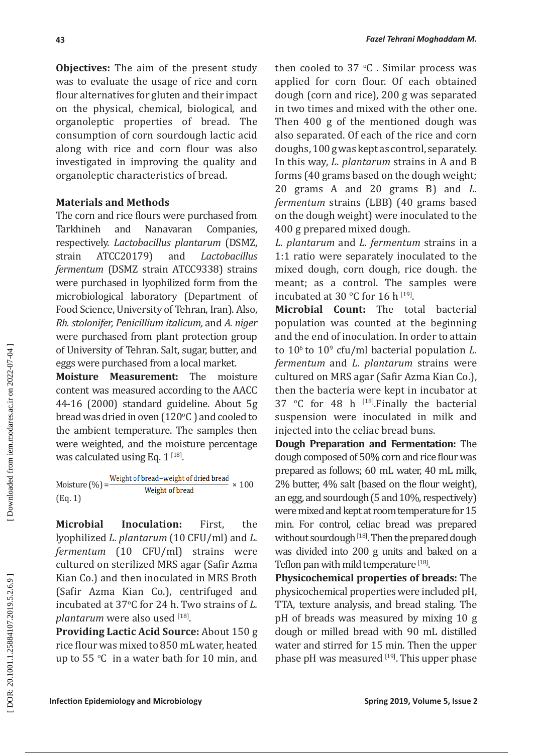**Objectives:** The aim of the present study was to evaluate the usage of rice and corn flour alternatives for gluten and their impact on the physical, chemical, biological, and organoleptic properties of bread. The consumption of corn sourdough lactic acid along with rice and corn flour was also investigated in improving the quality and organoleptic characteristics of bread.

### **Materials and Methods**

The corn and rice flours were purchased from<br>Tarkhineh and Nanavaran Companies, and Nanavaran respectively. *Lactobacillus plantarum* (DSMZ, strain ATCC20179) and *Lactobacillus fermentum* (DSMZ strain ATCC9338) strains were purchased in lyophilized form from the microbiological laboratory (Department of Food Science, University of Tehran, Iran). Also, *Rh. stolonifer, Penicillium italicum,* and *A. niger* were purchased from plant protection group of University of Tehran. Salt, sugar, butter, and eggs were purchased from a local market.<br>**Moisture Measurement:** The moisture

**Moisture Measurement:** content was measured according to the AACC 44-16 (2000) standard guideline. About 5g bread was dried in oven  $(120^{\circ}C)$  and cooled to the ambient temperature. The samples then were weighted, and the moisture percentage was calculated using Eq.  $1^{[18]}$ .

Moisture (%) =  $\frac{\text{Weight of bread-weight of dried bread}}{\text{Weight of bread}} \times 100$ (Eq. 1)

**Microbial Inoculation:** First, the lyophilized *L. plantarum* (10 CFU/ml) and *L. fermentum* (10 CFU/ml) strains were cultured on sterilized MRS agar (Safir Azma Kian Co.) and then inoculated in MRS Broth (Safir Azma Kian Co.), centrifuged and incubated at 37 o C for 24 h. Two strains of *L. plantarum* were also used [18] .

**Providing Lactic Acid Source:** About 150 g rice flour was mixed to 850 mL water, heated up to 55 °C in a water bath for 10 min, and

then cooled to  $37 \text{ °C}$  . Similar process was applied for corn flour. Of each obtained dough (corn and rice), 200 g was separated in two times and mixed with the other one. Then 400 g of the mentioned dough was also separated. Of each of the rice and corn doughs, 100 g was kept as control, separately. In this way, *L*. *plantarum* strains in A and B forms (40 grams based on the dough weight; 20 grams A and 20 grams B) and *L. fermentum* strains (LBB) (40 grams based on the dough weight) were inoculated to the 400 g prepared mixed dough.

*L. plantarum* and *L. fermentum* strains in a 1:1 ratio were separately inoculated to the mixed dough, corn dough, rice dough. the meant; as a control. The samples were incubated at  $30^{\circ}$ C for  $16$  h<sup>[19]</sup>.

**Microbial Count:** The total bacterial population was counted at the beginning and the end of inoculation. In order to attain to 106 to 10 9 cfu/ml bacterial population *L. fermentum* and *L. plantarum* strains were cultured on MRS agar (Safir Azma Kian Co.), then the bacteria were kept in incubator at 37  $\degree$ C for 48 h  $^{118}$ . Finally the bacterial suspension were inoculated in milk and injected into the celiac bread buns.

**Dough Preparation and Fermentation:** The dough composed of 50% corn and rice flour was prepared as follows; 60 mL water, 40 mL milk, 2% butter, 4% salt (based on the flour weight), an egg, and sourdough (5 and 10%, respectively) were mixed and kept at room temperature for 15 min. For control, celiac bread was prepared without sourdough [18]. Then the prepared dough was divided into 200 g units and baked on a Teflon pan with mild temperature <sup>[18]</sup>.

**Physicochemical properties of breads:** The physicochemical properties were included pH, TTA, texture analysis, and bread staling. The pH of breads was measured by mixing 10 g dough or milled bread with 90 mL distilled water and stirred for 15 min. Then the upper phase pH was measured  $[19]$ . This upper phase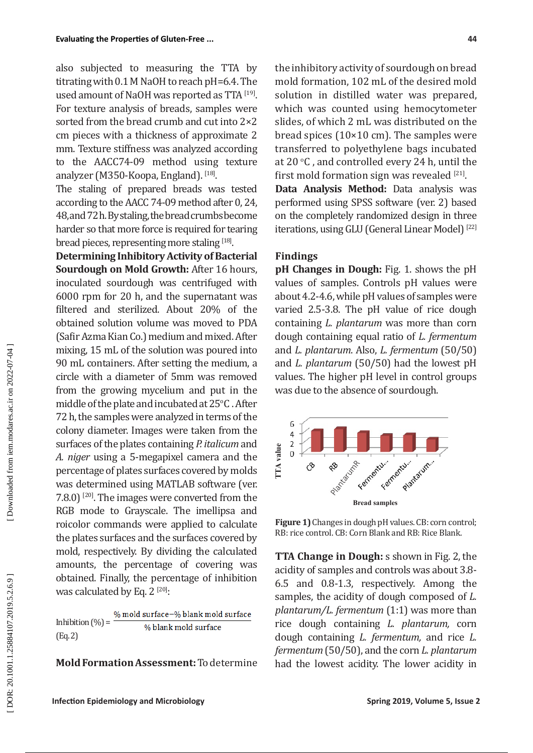also subjected to measuring the TTA by titrating with 0.1 M NaOH to reach pH=6.4. The used amount of NaOH was reported as  $TTA^{[19]}$ . For texture analysis of breads, samples were sorted from the bread crumb and cut into 2×2 cm pieces with a thickness of approximate 2 mm. Texture stiffness was analyzed according to the AACC74-09 method using texture analyzer (M350-Koopa, England). <sup>[18]</sup>.

The staling of prepared breads was tested according to the AACC 74-09 method after 0, 24, 48, and 72 h. By staling, the bread crumbs become harder so that more force is required for tearing bread pieces, representing more staling  $[18]$ .

**Determining Inhibitory Activity of Bacterial Sourdough on Mold Growth:** After 16 hours, inoculated sourdough was centrifuged with 6000 rpm for 20 h, and the supernatant was filtered and sterilized. About 20% of the obtained solution volume was moved to PDA (Safir Azma Kian Co.) medium and mixed. After mixing, 15 mL of the solution was poured into 90 mL containers. After setting the medium, a circle with a diameter of 5mm was removed from the growing mycelium and put in the middle of the plate and incubated at  $25^{\circ}$ C . After 72 h, the samples were analyzed in terms of the colony diameter. Images were taken from the surfaces of the plates containing *P. italicum* and *A. niger* using a 5-megapixel camera and the percentage of plates surfaces covered by molds was determined using MATLAB software (ver. 7.8.0)  $[20]$ . The images were converted from the RGB mode to Grayscale. The imellipsa and roicolor commands were applied to calculate the plates surfaces and the surfaces covered by mold, respectively. By dividing the calculated amounts, the percentage of covering was obtained. Finally, the percentage of inhibition was calculated by Eq. 2  $^{[20]}$ :

% mold surface-% blank mold surface Inhibition  $(\%) =$   $\frac{9}{6}$  blank mold surface (Eq. 2)

**Mold Formation Assessment:** To determine

the inhibitory activity of sourdough on bread mold formation, 102 mL of the desired mold solution in distilled water was prepared, which was counted using hemocytometer slides, of which 2 mL was distributed on the bread spices  $(10\times10$  cm). The samples were transferred to polyethylene bags incubated at 20  $\mathrm{^{\circ}C}$  , and controlled every 24 h, until the first mold formation sign was revealed  $[21]$ .

**Data Analysis Method:** Data analysis was performed using SPSS software (ver. 2) based on the completely randomized design in three iterations, using GLU (General Linear Model)<sup>[22]</sup>

### **Findings**

**pH Changes in Dough:** Fig. 1. shows the pH values of samples. Controls pH values were about 4.2-4.6, while pH values of samples were varied 2.5-3.8. The pH value of rice dough containing *L. plantarum* was more than corn dough containing equal ratio of *L. fermentum*  and *L. plantarum*. Also, *L. fermentum* (50/50) and *L. plantarum* (50/50) had the lowest pH values. The higher pH level in control groups was due to the absence of sourdough.



**Figure 1)** Changes in dough pH values. CB: corn control; RB: rice control. CB: Corn Blank and RB: Rice Blank.

**TTA Change in Dough:** s shown in Fig. 2, the acidity of samples and controls was about 3.8- 6.5 and 0.8-1.3, respectively. Among the samples, the acidity of dough composed of *L. plantarum/L. fermentum* (1:1) was more than rice dough containing *L. plantarum,* corn dough containing *L. fermentum,* and rice *L. fermentum* (50/50), and the corn *L. plantarum* Figure 1) Changes in dough pH values. CB: corn control;<br>
Read samples<br>
Figure 1) Changes in dough pH values. CB: corn control;<br>
RB: rice control. CB: Corn Blank and RB: Rice Blank.<br> **TTA Change in Dough:** s shown in Fig.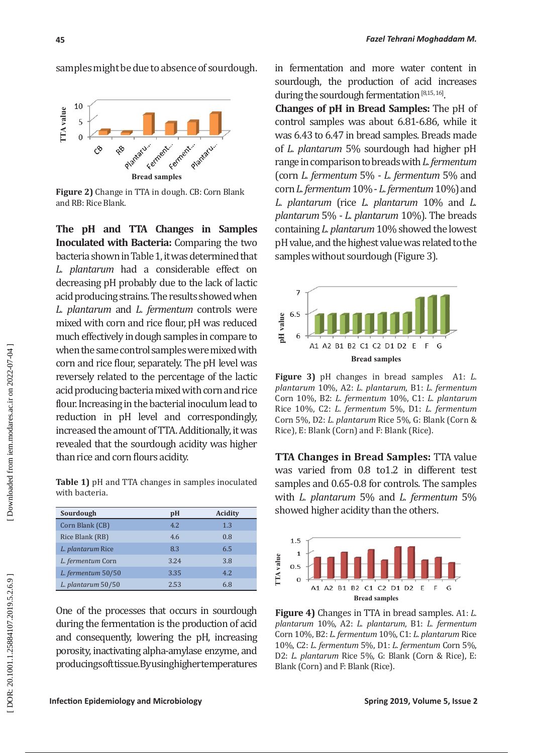samples might be due to absence of sourdough.



**Figure 2)** Change in TTA in dough. CB: Corn Blank and RB: Rice Blank.

**The pH and TTA Changes in Samples Inoculated with Bacteria:** Comparing the two bacteria shown in Table 1, it was determined that *L. plantarum* had a considerable effect on decreasing pH probably due to the lack of lactic acid producing strains. The results showed when *L. plantarum* and *L. fermentum* controls were mixed with corn and rice flour, pH was reduced much effectively in dough samples in compare to when the same control samples were mixed with corn and rice flour, separately. The pH level was reversely related to the percentage of the lactic acid producing bacteria mixed with corn and rice flour. Increasing in the bacterial inoculum lead to reduction in pH level and correspondingly, increased the amount of TTA. Additionally, it was revealed that the sourdough acidity was higher than rice and corn flours acidity.

**Table 1)** pH and TTA changes in samples inoculated with bacteria.

| Sourdough          | pH   | Acidity |
|--------------------|------|---------|
| Corn Blank (CB)    | 4.2. | 1.3     |
| Rice Blank (RB)    | 4.6  | 0.8     |
| L. plantarum Rice  | 8.3  | 6.5     |
| L. fermentum Corn  | 3.24 | 3.8     |
| L. fermentum 50/50 | 3.35 | 4.2.    |
| L. plantarum 50/50 | 2.53 | 6.8     |

One of the processes that occurs in sourdough during the fermentation is the production of acid and consequently, lowering the pH, increasing porosity, inactivating alpha-amylase enzyme, and producing soft tissue. By using higher temperatures in fermentation and more water content in sourdough, the production of acid increases during the sourdough fermentation [8,15, 16] .

**Changes of pH in Bread Samples:** The pH of control samples was about 6.81-6.86, while it was 6.43 to 6.47 in bread samples. Breads made of *L. plantarum* 5% sourdough had higher pH range in comparison to breads with *L. fermentum* (corn *L. fermentum* 5% - *L. fermentum* 5% and corn *L. fermentum* 10% - *L. fermentum* 10%) and *L. plantarum* (rice *L. plantarum* 10% and *L. plantarum* 5% - *L. plantarum* 10%). The breads containing *L. plantarum* 10% showed the lowest pH value, and the highest value was related to the samples without sourdough (Figure 3).



**Figure 3)** pH changes in bread samplesA1: *L. plantarum* 10%, A2: *L. plantarum*, B1: *L. fermentum* Corn 10%, B2: *L. fermentum* 10%, C1: *L. plantarum* Rice 10%, C2: *L. fermentum* 5%, D1: *L. fermentum*  Corn 5%, D2: *L. plantarum* Rice 5%, G: Blank (Corn & Rice), E: Blank (Corn) and F: Blank (Rice).

**TTA Changes in Bread Samples:** TTA value was varied from 0.8 to1.2 in different test samples and 0.65-0.8 for controls. The samples with *L. plantarum* 5% and *L. fermentum* 5% showed higher acidity than the others.



**Figure 4)** Changes in TTA in bread samples. A1: *L. plantarum* 10%, A2: *L. plantarum*, B1: *L. fermentum* Corn 10%, B2: *L. fermentum* 10%, C1: *L. plantarum* Rice 10%, C2: *L. fermentum* 5%, D1: *L. fermentum* Corn 5%, D2: *L. plantarum* Rice 5%, G: Blank (Corn & Rice), E: Blank (Corn) and F: Blank (Rice).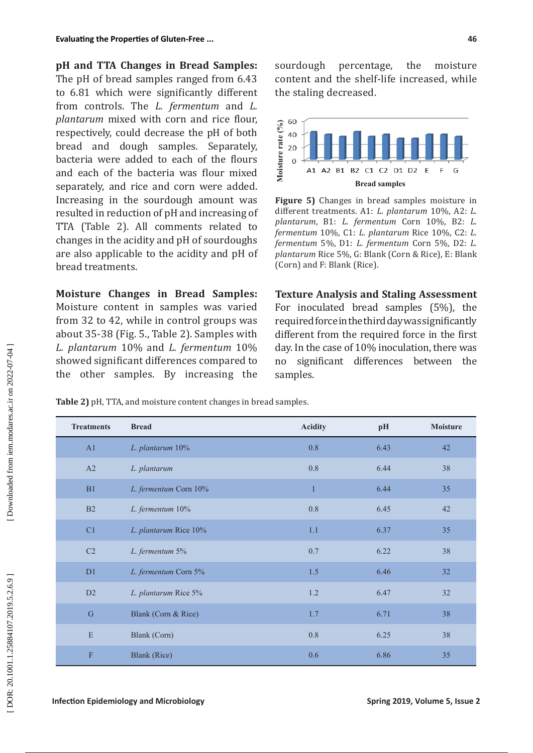**pH and TTA Changes in Bread Samples:**  The pH of bread samples ranged from 6.43 to 6.81 which were significantly different from controls. The *L. fermentum* and *L. plantarum* mixed with corn and rice flour, respectively, could decrease the pH of both bread and dough samples. Separately, bacteria were added to each of the flours and each of the bacteria was flour mixed separately, and rice and corn were added. Increasing in the sourdough amount was resulted in reduction of pH and increasing of TTA (Table 2). All comments related to changes in the acidity and pH of sourdoughs are also applicable to the acidity and pH of bread treatments.

**Moisture Changes in Bread Samples:**  Moisture content in samples was varied from 32 to 42, while in control groups was about 35-38 (Fig. 5., Table 2). Samples with *L. plantarum* 10% and *L. fermentum* 10% showed significant differences compared to the other samples. By increasing the sourdough percentage, the moisture content and the shelf-life increased, while the staling decreased.



**Figure 5)** Changes in bread samples moisture in different treatments. A1: *L. plantarum* 10%, A2: *L. plantarum*, B1: *L. fermentum* Corn 10%, B2: *L. fermentum* 10%, C1: *L. plantarum* Rice 10%, C2: *L. fermentum* 5%, D1: *L. fermentum* Corn 5%, D2: *L. plantarum* Rice 5%, G: Blank (Corn & Rice), E: Blank (Corn) and F: Blank (Rice).

Samples.<br>
We also a set and the algebra of the algebra of the algebra of the algebra of the plantarum fermentum plantarum (Corn) and **Texture** For inodential different day. In the no sign samples. **Texture Analysis and Staling Assessment** For inoculated bread samples (5%), the required force in the third day was significantly different from the required force in the first day. In the case of 10% inoculation, there was no significant differences between the samples.

**Table 2)** pH, TTA, and moisture content changes in bread samples.

| <b>Treatments</b> | <b>Bread</b>          | <b>Acidity</b> | pH   | <b>Moisture</b> |
|-------------------|-----------------------|----------------|------|-----------------|
| A1                | L. plantarum 10%      | 0.8            | 6.43 | 42              |
| A2                | L. plantarum          | 0.8            | 6.44 | 38              |
| B1                | L. fermentum Corn 10% | $\mathbf{1}$   | 6.44 | 35              |
| B2                | L. fermentum 10%      | $0.8\,$        | 6.45 | 42              |
| C <sub>1</sub>    | L. plantarum Rice 10% | 1.1            | 6.37 | 35              |
| C2                | L. fermentum 5%       | 0.7            | 6.22 | 38              |
| D1                | L. fermentum Corn 5%  | 1.5            | 6.46 | 32              |
| D2                | L. plantarum Rice 5%  | 1.2            | 6.47 | 32              |
| ${\bf G}$         | Blank (Corn & Rice)   | $1.7\,$        | 6.71 | 38              |
| E                 | Blank (Corn)          | $0.8\,$        | 6.25 | 38              |
| $\mathbf{F}$      | <b>Blank</b> (Rice)   | 0.6            | 6.86 | 35              |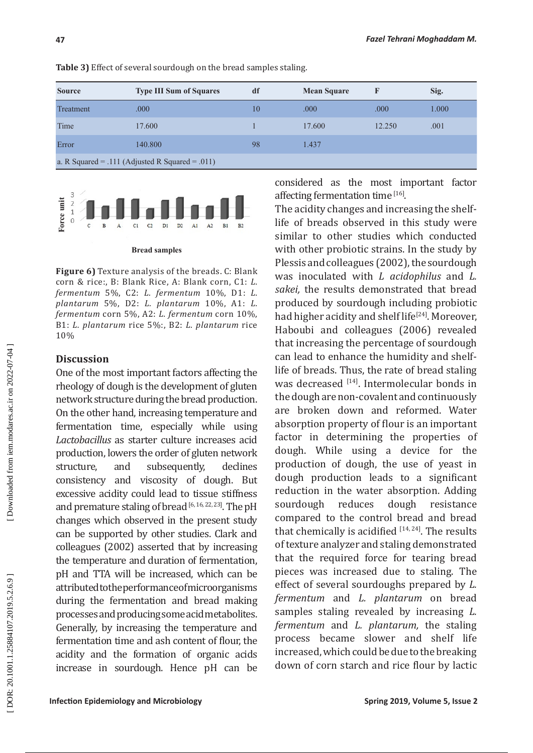| <b>Source</b>                                   | <b>Type III Sum of Squares</b> | df | <b>Mean Square</b> |        | Sig.  |  |  |  |
|-------------------------------------------------|--------------------------------|----|--------------------|--------|-------|--|--|--|
| Treatment                                       | .000                           | 10 | .000               | .000   | 1.000 |  |  |  |
| Time                                            | 17.600                         |    | 17.600             | 12.250 | .001  |  |  |  |
| Error                                           | 140.800                        | 98 | 1.437              |        |       |  |  |  |
| a. R Squared = .111 (Adjusted R Squared = .011) |                                |    |                    |        |       |  |  |  |

**Table 3)** Effect of several sourdough on the bread samples staling.



#### **Bread samples**

**Figure 6)** Texture analysis of the breads. C: Blank corn & rice:, B: Blank Rice, A: Blank corn, C1: *L. fermentum* 5%, C2: *L. fermentum* 10%, D1: *L. plantarum* 5%, D2: *L. plantarum* 10%, A1: *L. fermentum* corn 5%, A2: *L. fermentum* corn 10%, B1: *L. plantarum* rice 5%:, B2: *L. plantarum* rice 10%

### **Discussion**

One of the most important factors affecting the rheology of dough is the development of gluten network structure during the bread production. On the other hand, increasing temperature and fermentation time, especially while using *Lactobacillus* as starter culture increases acid production, lowers the order of gluten network<br>structure. and subsequently. declines structure, and subsequently, consistency and viscosity of dough. But excessive acidity could lead to tissue stiffness and premature staling of bread [6, 16, 22, 23]. The pH changes which observed in the present study can be supported by other studies. Clark and colleagues (2002) asserted that by increasing the temperature and duration of fermentation, pH and TTA will be increased, which can be attributed to the performance of microorganisms during the fermentation and bread making processes and producing some acid metabolites. Generally, by increasing the temperature and fermentation time and ash content of flour, the acidity and the formation of organic acids increase in sourdough. Hence pH can be considered as the most important factor affecting fermentation time [16].

The acidity changes and increasing the shelflife of breads observed in this study were similar to other studies which conducted with other probiotic strains. In the study by Plessis and colleagues (2002), the sourdough was inoculated with *L acidophilus* and *L. sakei,* the results demonstrated that bread produced by sourdough including probiotic had higher acidity and shelf life<sup>[24]</sup>. Moreover. Haboubi and colleagues (2006) revealed that increasing the percentage of sourdough can lead to enhance the humidity and shelflife of breads. Thus, the rate of bread staling was decreased [14]. Intermolecular bonds in the dough are non-covalent and continuously are broken down and reformed. Water absorption property of flour is an important factor in determining the properties of dough. While using a device for the production of dough, the use of yeast in dough production leads to a significant reduction in the water absorption. Adding<br>sourdough reduces dough resistance sourdough reduces dough resistance compared to the control bread and bread that chemically is acidified  $[14, 24]$ . The results of texture analyzer and staling demonstrated that the required force for tearing bread pieces was increased due to staling. The effect of several sourdoughs prepared by *L. fermentum* and *L. plantarum* on bread samples staling revealed by increasing *L. fermentum* and *L. plantarum,* the staling process became slower and shelf life increased, which could be due to the breaking down of corn starch and rice flour by lactic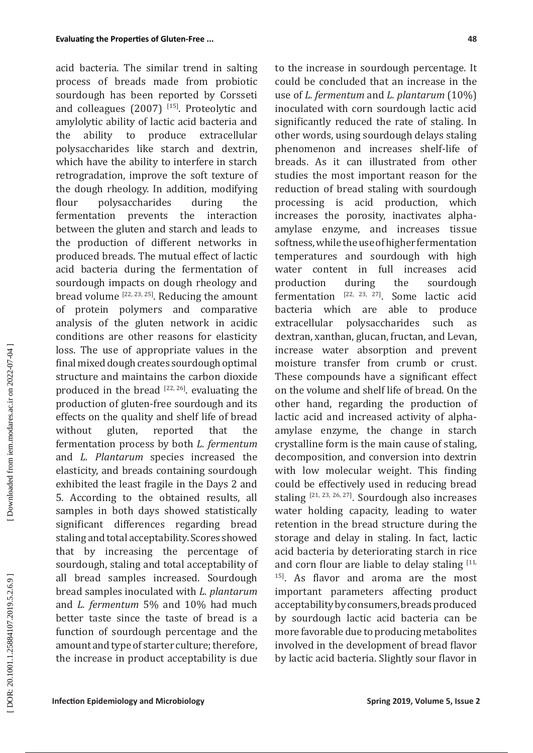acid bacteria. The similar trend in salting process of breads made from probiotic sourdough has been reported by Corsseti and colleagues (2007) [15]. Proteolytic and amylolytic ability of lactic acid bacteria and<br>the ability to produce extracellular the ability to produce extracellular polysaccharides like starch and dextrin, which have the ability to interfere in starch retrogradation, improve the soft texture of the dough rheology. In addition, modifying flour polysaccharides during the fermentation prevents the interaction between the gluten and starch and leads to the production of different networks in produced breads. The mutual effect of lactic acid bacteria during the fermentation of sourdough impacts on dough rheology and bread volume  $[22, 23, 25]$ . Reducing the amount of protein polymers and comparative analysis of the gluten network in acidic conditions are other reasons for elasticity loss. The use of appropriate values in the final mixed dough creates sourdough optimal structure and maintains the carbon dioxide produced in the bread  $[22, 26]$ . evaluating the production of gluten-free sourdough and its effects on the quality and shelf life of bread without gluten, reported that the fermentation process by both *L. fermentum* and *L. Plantarum* species increased the elasticity, and breads containing sourdough exhibited the least fragile in the Days 2 and 5. According to the obtained results, all samples in both days showed statistically significant differences regarding bread staling and total acceptability. Scores showed that by increasing the percentage of sourdough, staling and total acceptability of all bread samples increased. Sourdough bread samples inoculated with *L. plantarum* and *L. fermentum* 5% and 10% had much better taste since the taste of bread is a function of sourdough percentage and the amount and type of starter culture; therefore, the increase in product acceptability is due

to the increase in sourdough percentage. It could be concluded that an increase in the use of *L. fermentum* and *L. plantarum* (10%) inoculated with corn sourdough lactic acid significantly reduced the rate of staling. In other words, using sourdough delays staling phenomenon and increases shelf-life of breads. As it can illustrated from other studies the most important reason for the reduction of bread staling with sourdough processing is acid production, which increases the porosity, inactivates alphaamylase enzyme, and increases tissue softness, while the use of higher fermentation temperatures and sourdough with high water content in full increases acid production during the sourdough fermentation  $[22, 23, 27]$ . Some lactic acid bacteria which are able to produce bacteria which are able extracellular polysaccharides such as dextran, xanthan, glucan, fructan, and Levan, increase water absorption and prevent moisture transfer from crumb or crust. These compounds have a significant effect on the volume and shelf life of bread. On the other hand, regarding the production of lactic acid and increased activity of alphaamylase enzyme, the change in starch crystalline form is the main cause of staling, decomposition, and conversion into dextrin with low molecular weight. This finding could be effectively used in reducing bread staling [21, 23, 26, 27]. Sourdough also increases water holding capacity, leading to water retention in the bread structure during the storage and delay in staling. In fact, lactic acid bacteria by deteriorating starch in rice and corn flour are liable to delay staling  $[11, 1]$ <sup>15]</sup>. As flavor and aroma are the most important parameters affecting product acceptability by consumers, breads produced by sourdough lactic acid bacteria can be more favorable due to producing metabolites involved in the development of bread flavor by lactic acid bacteria. Slightly sour flavor in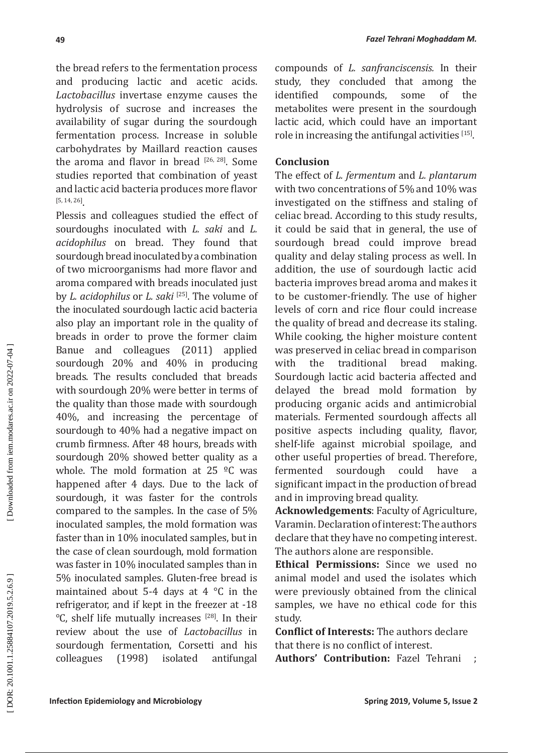the bread refers to the fermentation process and producing lactic and acetic acids. *Lactobacillus* invertase enzyme causes the hydrolysis of sucrose and increases the availability of sugar during the sourdough fermentation process. Increase in soluble carbohydrates by Maillard reaction causes the aroma and flavor in bread  $[26, 28]$ . Some studies reported that combination of yeast and lactic acid bacteria produces more flavor [5, 14, 26] .

Plessis and colleagues studied the effect of sourdoughs inoculated with *L. saki* and *L. acidophilus* on bread. They found that sourdough bread inoculated by a combination of two microorganisms had more flavor and aroma compared with breads inoculated just by *L. acidophilus* or *L. saki* [25]. The volume of the inoculated sourdough lactic acid bacteria also play an important role in the quality of breads in order to prove the former claim Banue and colleagues (2011) applied sourdough 20% and 40% in producing breads. The results concluded that breads with sourdough 20% were better in terms of the quality than those made with sourdough 40%, and increasing the percentage of sourdough to 40% had a negative impact on crumb firmness. After 48 hours, breads with sourdough 20% showed better quality as a whole. The mold formation at 25  $^{\circ}$ C was happened after 4 days. Due to the lack of sourdough, it was faster for the controls compared to the samples. In the case of 5% inoculated samples, the mold formation was faster than in 10% inoculated samples, but in the case of clean sourdough, mold formation was faster in 10% inoculated samples than in 5% inoculated samples. Gluten-free bread is maintained about 5-4 days at 4 °C in the refrigerator, and if kept in the freezer at -18 °C, shelf life mutually increases [28]. In their review about the use of *Lactobacillus* in sourdough fermentation, Corsetti and his colleagues (1998) isolated antifungal

compounds of *L. sanfranciscensis.* In their study, they concluded that among the<br>identified compounds, some of the compounds, some of the metabolites were present in the sourdough lactic acid, which could have an important role in increasing the antifungal activities  $[15]$ .

### **Conclusion**

The effect of *L. fermentum* and *L. plantarum* with two concentrations of 5% and 10% was investigated on the stiffness and staling of celiac bread. According to this study results, it could be said that in general, the use of sourdough bread could improve bread quality and delay staling process as well. In addition, the use of sourdough lactic acid bacteria improves bread aroma and makes it to be customer-friendly. The use of higher levels of corn and rice flour could increase the quality of bread and decrease its staling. While cooking, the higher moisture content was preserved in celiac bread in comparison<br>with the traditional bread making. with the traditional bread making. Sourdough lactic acid bacteria affected and delayed the bread mold formation by producing organic acids and antimicrobial materials. Fermented sourdough affects all positive aspects including quality, flavor, shelf-life against microbial spoilage, and other useful properties of bread. Therefore, fermented sourdough could have a significant impact in the production of bread and in improving bread quality.

**Acknowledgements**: Faculty of Agriculture, Varamin. Declaration of interest: The authors declare that they have no competing interest. The authors alone are responsible.

**Ethical Permissions:** Since we used no animal model and used the isolates which were previously obtained from the clinical samples, we have no ethical code for this study.

**Conflict of Interests:** The authors declare that there is no conflict of interest.

**Authors' Contribution:** Fazel Tehrani ;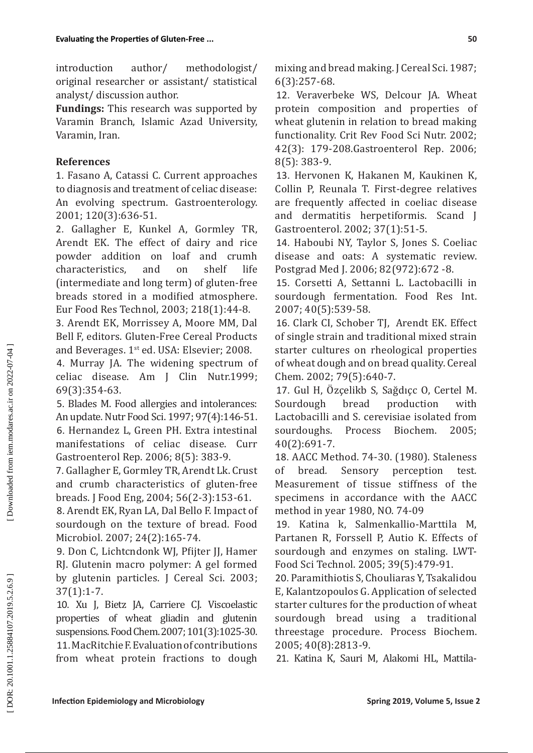introduction author/ methodologist/ original researcher or assistant/ statistical analyst/ discussion author.

**Fundings:** This research was supported by Varamin Branch, Islamic Azad University, Varamin, Iran.

## **References**

1. Fasano A, Catassi C. Current approaches to diagnosis and treatment of celiac disease: An evolving spectrum. Gastroenterology. 2001; 120(3):636-51.

2. Gallagher Е, Kunkel A, Gormley ТR, Arendt EK. The effect of dairy and rice powder addition on loaf and crumh<br>characteristics, and on shelf life characteristics, and on shelf life (intermediate and long term) of gluten-free breads stored in a modified atmosphere. Eur Food Res Technol, 2003; 218(1):44-8.

3. Arendt EK, Morrissey A, Moore МM, Dal Bell F, editors. Gluten-Free Cereal Products and Beverages. 1<sup>st</sup> ed. USA: Elsevier; 2008.

4. Murray JA. The widening spectrum of celiac disease. Am J Clin Nutr.1999; 69(3):354-63.

5. Blades M. Food allergies and intolerances: An update. Nutr Food Sci. 1997; 97(4):146-51. 6. Hernandez L, Green PH. Extra intestinal manifestations of celiac disease. Curr Gastroenterol Rep. 2006; 8(5): 383-9.

7. Gallagher E, Gormley TR, Arendt Lk. Crust and crumb characteristics of gluten-free breads. J Food Eng, 2004; 56(2-3):153-61.

8. Arendt EK, Ryan LA, Dal Bello F. Impact of sourdough on the texture of bread. Food Microbiol. 2007; 24(2):165-74.

9. Don C, Lichtcndonk WJ, Pfijter JJ, Hamer RJ. Glutenin macro polymer: A gel formed by glutenin particles. J Cereal Sci. 2003; 37(1):1-7.

10. Xu J, Bietz JA, Carriere CJ. Viscoelastic properties of wheat gliadin and glutenin suspensions. Food Chem. 2007; 101(3):1025-30. 11. MacRitchie F. Evaluation of contributions from wheat protein fractions to dough mixing and bread making. J Cereal Sci. 1987; 6(3):257-68.

12. Veraverbeke WS, Delcour JA. Wheat protein composition and properties of wheat glutenin in relation to bread making functionality. Crit Rev Food Sci Nutr. 2002; 42(3): 179-208.Gastroenterol Rep. 2006; 8(5): 383-9.

13. Hervonen K, Hakanen M, Kaukinen K, Collin P, Reunala T. First-degree relatives are frequently affected in coeliac disease and dermatitis herpetiformis. Scand J Gastroenterol. 2002; 37(1):51-5.

14. Haboubi NY, Taylor S, Jones S. Coeliac disease and oats: A systematic review. Postgrad Med J. 2006; 82(972):672 -8.

15. Corsetti A, Settanni L. Lactobacilli in sourdough fermentation. Food Res Int. 2007; 40(5):539-58.

16. Clark CI, Schober TJ, Arendt EK. Effect of single strain and traditional mixed strain starter cultures on rheological properties of wheat dough and on bread quality. Cereal Chem. 2002; 79(5):640-7.

17. Gul H, Özçelik[b](http://www.sciencedirect.com/science/article/pii/S0032959204000822#AFF2) S, Sağdıç[c](http://www.sciencedirect.com/science/article/pii/S0032959204000822#AFF3) O, Certel M. Sourdough bread production with Lactobacilli and S. cerevisiae isolated from sourdoughs. Process Biochem. 2005; 40(2):691-7.

18. AACC Method. 74-30. (1980). Staleness of bread*.* Sensory perception test*.*  Measurement of tissue stiffness of the specimens in accordance with the AACC method in year 1980, NO. 74-09

19. Katina k, Salmenkallio-Marttila M, Partanen R, Forssell P, Autio K. Effects of sourdough and enzymes on staling. LWT-Food Sci Technol. 2005; 39(5):479-91.

20. Paramithiotis S, Chouliaras Y, Tsakalidou E, Kalantzopoulos G. Application of selected starter cultures for the production of wheat sourdough bread using a traditional threestage procedure. Process Biochem. 2005; 40(8):2813-9.

21. Katina K, Sauri M, Alakomi HL, Mattila-